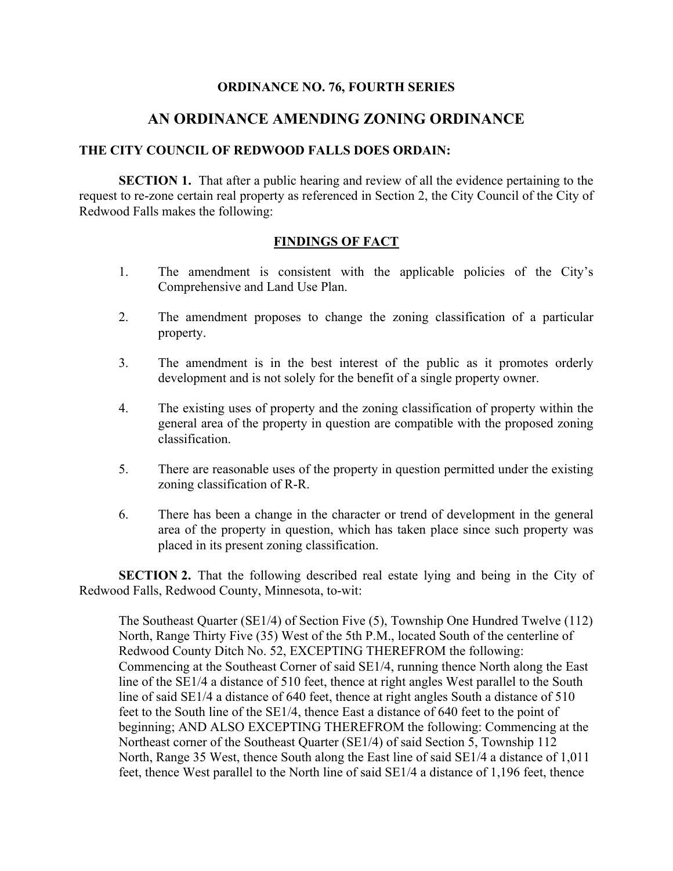## **ORDINANCE NO. 76, FOURTH SERIES**

## **AN ORDINANCE AMENDING ZONING ORDINANCE**

## **THE CITY COUNCIL OF REDWOOD FALLS DOES ORDAIN:**

**SECTION 1.** That after a public hearing and review of all the evidence pertaining to the request to re-zone certain real property as referenced in Section 2, the City Council of the City of Redwood Falls makes the following:

## **FINDINGS OF FACT**

- 1. The amendment is consistent with the applicable policies of the City's Comprehensive and Land Use Plan.
- 2. The amendment proposes to change the zoning classification of a particular property.
- 3. The amendment is in the best interest of the public as it promotes orderly development and is not solely for the benefit of a single property owner.
- 4. The existing uses of property and the zoning classification of property within the general area of the property in question are compatible with the proposed zoning classification.
- 5. There are reasonable uses of the property in question permitted under the existing zoning classification of R-R.
- 6. There has been a change in the character or trend of development in the general area of the property in question, which has taken place since such property was placed in its present zoning classification.

**SECTION 2.** That the following described real estate lying and being in the City of Redwood Falls, Redwood County, Minnesota, to-wit:

The Southeast Quarter (SE1/4) of Section Five (5), Township One Hundred Twelve (112) North, Range Thirty Five (35) West of the 5th P.M., located South of the centerline of Redwood County Ditch No. 52, EXCEPTING THEREFROM the following: Commencing at the Southeast Corner of said SE1/4, running thence North along the East line of the SE1/4 a distance of 510 feet, thence at right angles West parallel to the South line of said SE1/4 a distance of 640 feet, thence at right angles South a distance of 510 feet to the South line of the SE1/4, thence East a distance of 640 feet to the point of beginning; AND ALSO EXCEPTING THEREFROM the following: Commencing at the Northeast corner of the Southeast Quarter (SE1/4) of said Section 5, Township 112 North, Range 35 West, thence South along the East line of said SE1/4 a distance of 1,011 feet, thence West parallel to the North line of said SE1/4 a distance of 1,196 feet, thence